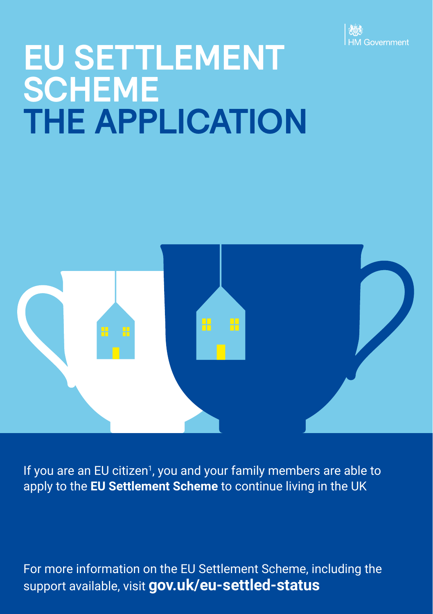

# **EU SETTLEMENT SCHEME THE APPLICATION**



If you are an EU citizen<sup>1</sup>, you and your family members are able to apply to the **EU Settlement Scheme** to continue living in the UK

For more information on the EU Settlement Scheme, including the support available, visit **[gov.uk/eu-settled-status](https://www.gov.uk/settled-status-eu-citizens-families)**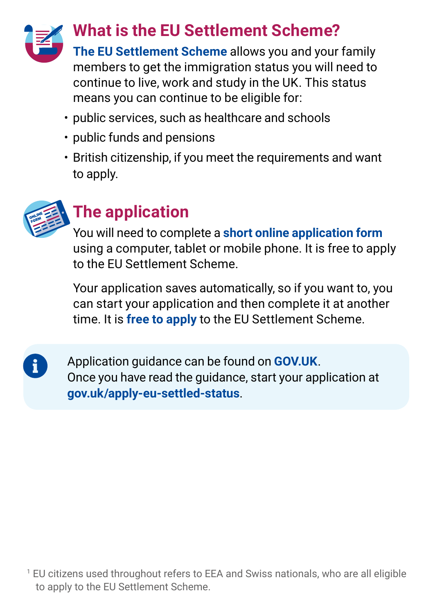

**The EU Settlement Scheme** allows you and your family members to get the immigration status you will need to continue to live, work and study in the UK. This status means you can continue to be eligible for:

- public services, such as healthcare and schools
- public funds and pensions
- British citizenship, if you meet the requirements and want to apply.



 $\mathbf i$ 

## **The application**

You will need to complete a **short online application form** using a computer, tablet or mobile phone. It is free to apply to the EU Settlement Scheme.

Your application saves automatically, so if you want to, you can start your application and then complete it at another time. It is **free to apply** to the EU Settlement Scheme.

Application guidance can be found on **[GOV.UK](https://www.gov.uk/settled-status-eu-citizens-families/applying-for-settled-status)**. Once you have read the guidance, start your application at **[gov.uk/apply-eu-settled-status](http://gov.uk/apply-eu-settled-status)**.

1 EU citizens used throughout refers to EEA and Swiss nationals, who are all eligible to apply to the EU Settlement Scheme.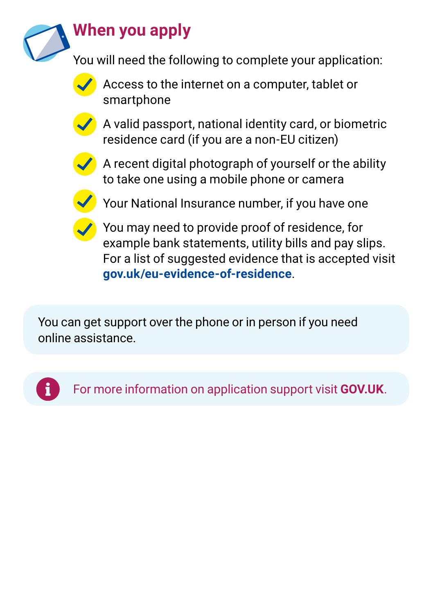

## **When you apply**

You will need the following to complete your application:



Access to the internet on a computer, tablet or smartphone



A valid passport, national identity card, or biometric residence card (if you are a non-EU citizen)



A recent digital photograph of yourself or the ability to take one using a mobile phone or camera



Your National Insurance number, if you have one



You may need to provide proof of residence, for example bank statements, utility bills and pay slips. For a list of suggested evidence that is accepted visit **[gov.uk/eu-evidence-of-residence](http://gov.uk/eu-evidence-of-residence)**.

You can get support over the phone or in person if you need online assistance.



For more information on application support visit **[GOV.UK](http://gov.uk/eu-settled-status)**.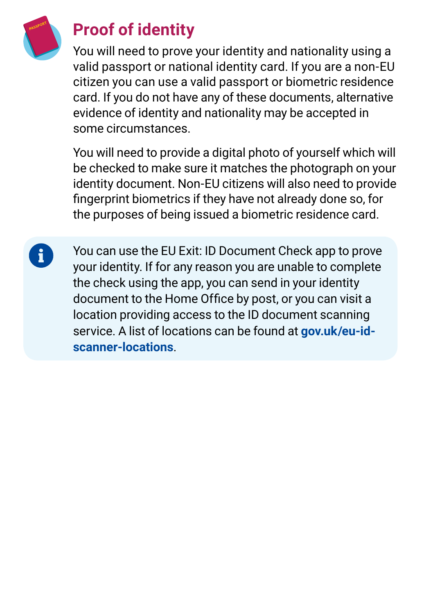

i

## **Proof of identity**

You will need to prove your identity and nationality using a valid passport or national identity card. If you are a non-EU citizen you can use a valid passport or biometric residence card. If you do not have any of these documents, alternative evidence of identity and nationality may be accepted in some circumstances.

You will need to provide a digital photo of yourself which will be checked to make sure it matches the photograph on your identity document. Non-EU citizens will also need to provide fingerprint biometrics if they have not already done so, for the purposes of being issued a biometric residence card.

You can use the EU Exit: ID Document Check app to prove your identity. If for any reason you are unable to complete the check using the app, you can send in your identity document to the Home Office by post, or you can visit a location providing access to the ID document scanning service. A list of locations can be found at **[gov.uk/eu-id](http://gov.uk/eu-id-scanner-locations)[scanner-locations](http://gov.uk/eu-id-scanner-locations)**.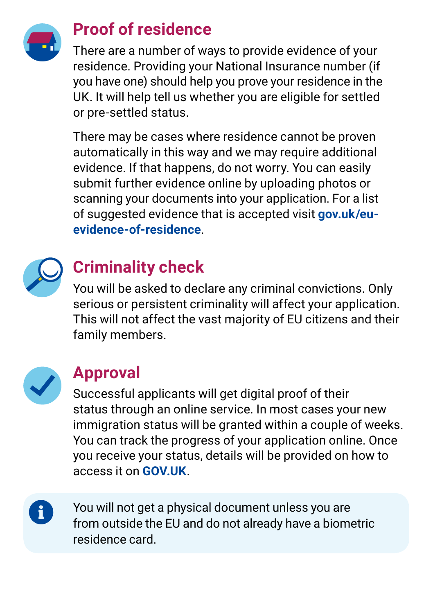

#### **Proof of residence**

There are a number of ways to provide evidence of your residence. Providing your National Insurance number (if you have one) should help you prove your residence in the UK. It will help tell us whether you are eligible for settled or pre‑settled status.

There may be cases where residence cannot be proven automatically in this way and we may require additional evidence. If that happens, do not worry. You can easily submit further evidence online by uploading photos or scanning your documents into your application. For a list of suggested evidence that is accepted visit **[gov.uk/eu](http://gov.uk/eu-evidence-of-residence)[evidence-of-residence](http://gov.uk/eu-evidence-of-residence)**.



## **Criminality check**

You will be asked to declare any criminal convictions. Only serious or persistent criminality will affect your application. This will not affect the vast majority of EU citizens and their family members.



### **Approval**

Successful applicants will get digital proof of their status through an online service. In most cases your new immigration status will be granted within a couple of weeks. You can track the progress of your application online. Once you receive your status, details will be provided on how to access it on **[GOV.UK](http://gov.uk/eu-settled-status)**.

i.

You will not get a physical document unless you are from outside the EU and do not already have a biometric residence card.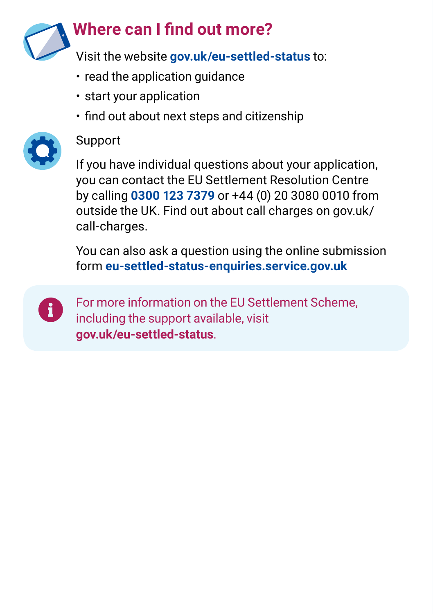

- read the application quidance
- start your application
- find out about next steps and citizenship



#### Support

If you have individual questions about your application, you can contact the EU Settlement Resolution Centre by calling **0300 123 7379** or +44 (0) 20 3080 0010 from outside the UK. Find out about call charges on [gov.uk/](http://gov.uk/call-charges) [call-charges](http://gov.uk/call-charges).

You can also ask a question using the online submission form **[eu-settled-status-enquiries.service.gov.uk](https://eu-settled-status-enquiries.service.gov.uk/start)**



For more information on the EU Settlement Scheme, including the support available, visit **[gov.uk/eu-settled-status](https://www.gov.uk/settled-status-eu-citizens-families)**.